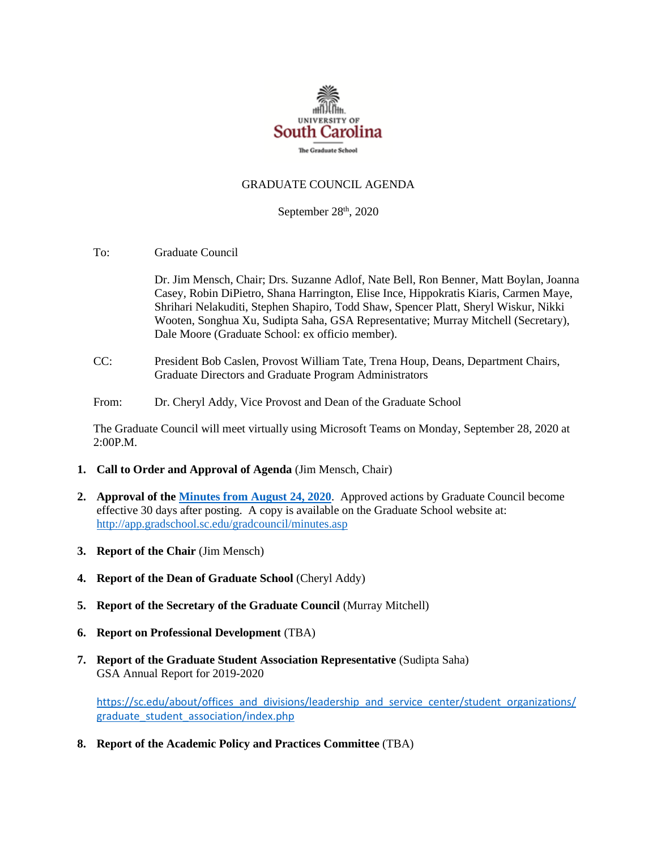

## GRADUATE COUNCIL AGENDA

September 28<sup>th</sup>, 2020

To: Graduate Council

Dr. Jim Mensch, Chair; Drs. Suzanne Adlof, Nate Bell, Ron Benner, Matt Boylan, Joanna Casey, Robin DiPietro, Shana Harrington, Elise Ince, Hippokratis Kiaris, Carmen Maye, Shrihari Nelakuditi, Stephen Shapiro, Todd Shaw, Spencer Platt, Sheryl Wiskur, Nikki Wooten, Songhua Xu, Sudipta Saha, GSA Representative; Murray Mitchell (Secretary), Dale Moore (Graduate School: ex officio member).

- CC: President Bob Caslen, Provost William Tate, Trena Houp, Deans, Department Chairs, Graduate Directors and Graduate Program Administrators
- From: Dr. Cheryl Addy, Vice Provost and Dean of the Graduate School

The Graduate Council will meet virtually using Microsoft Teams on Monday, September 28, 2020 at 2:00P.M.

- **1. Call to Order and Approval of Agenda** (Jim Mensch, Chair)
- **2. Approval of th[e Minutes from August 24, 2020](file:///C:/Users/crosse/AppData/Local/Microsoft/Windows/INetCache/Content.Outlook/TEVFGMDL/GCMINS%208.24.20%20MM2wATT.pdf)**. Approved actions by Graduate Council become effective 30 days after posting. A copy is available on the Graduate School website at: <http://app.gradschool.sc.edu/gradcouncil/minutes.asp>
- **3. Report of the Chair** (Jim Mensch)
- **4. Report of the Dean of Graduate School** (Cheryl Addy)
- **5. Report of the Secretary of the Graduate Council** (Murray Mitchell)
- **6. Report on Professional Development** (TBA)
- **7. Report of the Graduate Student Association Representative** (Sudipta Saha) GSA Annual Report for 2019-2020

[https://sc.edu/about/offices\\_and\\_divisions/leadership\\_and\\_service\\_center/student\\_organizations/](https://sc.edu/about/offices_and_divisions/leadership_and_service_center/student_organizations/graduate_student_association/index.php) [graduate\\_student\\_association/index.php](https://sc.edu/about/offices_and_divisions/leadership_and_service_center/student_organizations/graduate_student_association/index.php)

**8. Report of the Academic Policy and Practices Committee** (TBA)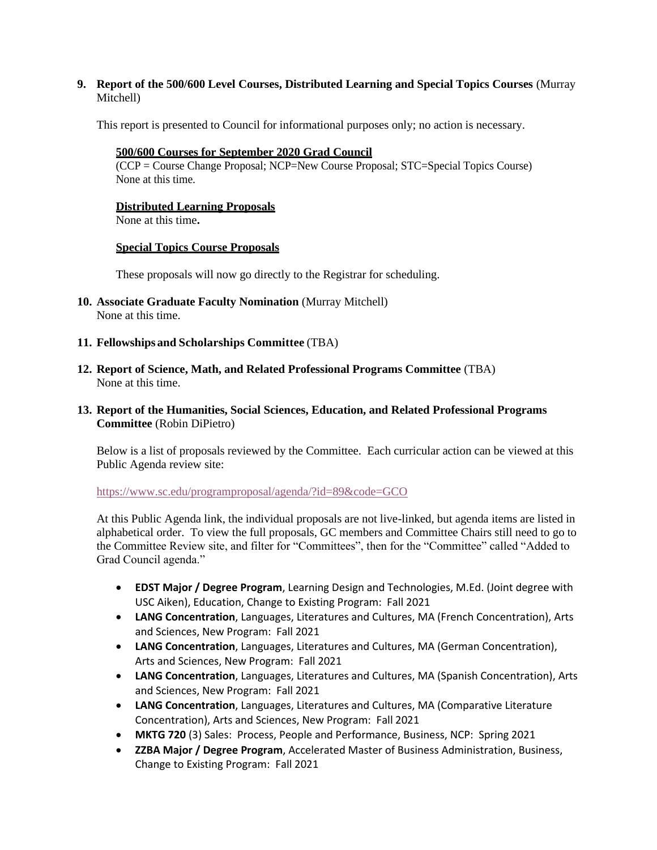**9. Report of the 500/600 Level Courses, Distributed Learning and Special Topics Courses** (Murray Mitchell)

This report is presented to Council for informational purposes only; no action is necessary.

## **500/600 Courses for September 2020 Grad Council**

(CCP = Course Change Proposal; NCP=New Course Proposal; STC=Special Topics Course) None at this time.

## **Distributed Learning Proposals**

None at this time**.**

## **Special Topics Course Proposals**

These proposals will now go directly to the Registrar for scheduling.

- **10. Associate Graduate Faculty Nomination** (Murray Mitchell) None at this time.
- **11. Fellowships and Scholarships Committee** (TBA)
- **12. Report of Science, Math, and Related Professional Programs Committee** (TBA) None at this time.
- **13. Report of the Humanities, Social Sciences, Education, and Related Professional Programs Committee** (Robin DiPietro)

Below is a list of proposals reviewed by the Committee. Each curricular action can be viewed at this Public Agenda review site:

<https://www.sc.edu/programproposal/agenda/?id=89&code=GCO>

At this Public Agenda link, the individual proposals are not live-linked, but agenda items are listed in alphabetical order. To view the full proposals, GC members and Committee Chairs still need to go to the Committee Review site, and filter for "Committees", then for the "Committee" called "Added to Grad Council agenda."

- **EDST Major / Degree Program**, Learning Design and Technologies, M.Ed. (Joint degree with USC Aiken), Education, Change to Existing Program: Fall 2021
- **LANG Concentration**, Languages, Literatures and Cultures, MA (French Concentration), Arts and Sciences, New Program: Fall 2021
- **LANG Concentration**, Languages, Literatures and Cultures, MA (German Concentration), Arts and Sciences, New Program: Fall 2021
- **LANG Concentration**, Languages, Literatures and Cultures, MA (Spanish Concentration), Arts and Sciences, New Program: Fall 2021
- **LANG Concentration**, Languages, Literatures and Cultures, MA (Comparative Literature Concentration), Arts and Sciences, New Program: Fall 2021
- **MKTG 720** (3) Sales: Process, People and Performance, Business, NCP: Spring 2021
- **ZZBA Major / Degree Program**, Accelerated Master of Business Administration, Business, Change to Existing Program: Fall 2021